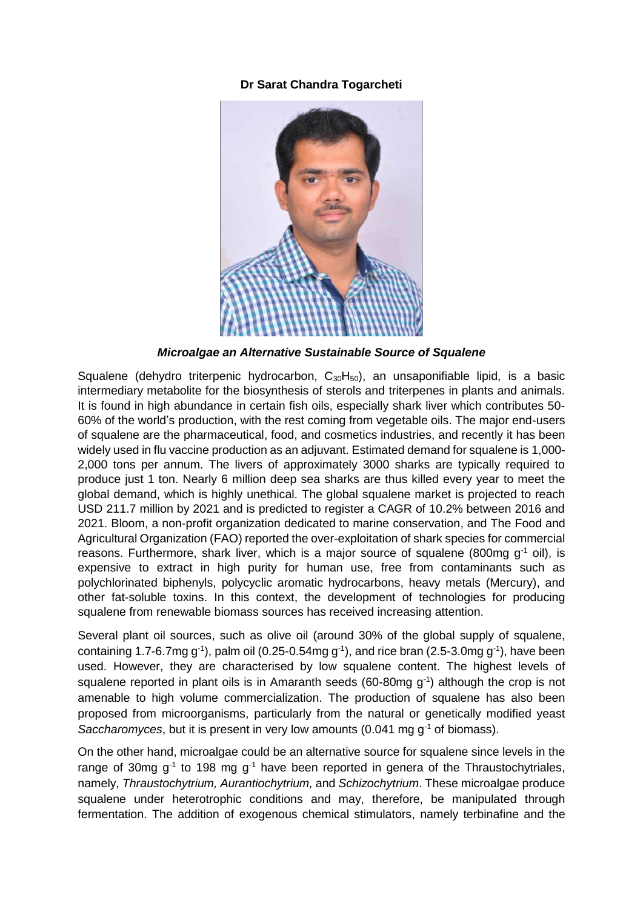## **Dr Sarat Chandra Togarcheti**



*Microalgae an Alternative Sustainable Source of Squalene*

Squalene (dehydro triterpenic hydrocarbon,  $C_{30}H_{50}$ ), an unsaponifiable lipid, is a basic intermediary metabolite for the biosynthesis of sterols and triterpenes in plants and animals. It is found in high abundance in certain fish oils, especially shark liver which contributes 50- 60% of the world's production, with the rest coming from vegetable oils. The major end-users of squalene are the pharmaceutical, food, and cosmetics industries, and recently it has been widely used in flu vaccine production as an adjuvant. Estimated demand for squalene is 1,000- 2,000 tons per annum. The livers of approximately 3000 sharks are typically required to produce just 1 ton. Nearly 6 million deep sea sharks are thus killed every year to meet the global demand, which is highly unethical. The global squalene market is projected to reach USD 211.7 million by 2021 and is predicted to register a CAGR of 10.2% between 2016 and 2021. Bloom, a non-profit organization dedicated to marine conservation, and The Food and Agricultural Organization (FAO) reported the over-exploitation of shark species for commercial reasons. Furthermore, shark liver, which is a major source of squalene (800mg  $q^{-1}$  oil), is expensive to extract in high purity for human use, free from contaminants such as polychlorinated biphenyls, polycyclic aromatic hydrocarbons, heavy metals (Mercury), and other fat-soluble toxins. In this context, the development of technologies for producing squalene from renewable biomass sources has received increasing attention.

Several plant oil sources, such as olive oil (around 30% of the global supply of squalene, containing 1.7-6.7mg g<sup>-1</sup>), palm oil (0.25-0.54mg g<sup>-1</sup>), and rice bran (2.5-3.0mg g<sup>-1</sup>), have been used. However, they are characterised by low squalene content. The highest levels of squalene reported in plant oils is in Amaranth seeds (60-80mg g<sup>-1</sup>) although the crop is not amenable to high volume commercialization. The production of squalene has also been proposed from microorganisms, particularly from the natural or genetically modified yeast *Saccharomyces*, but it is present in very low amounts (0.041 mg g<sup>-1</sup> of biomass).

On the other hand, microalgae could be an alternative source for squalene since levels in the range of 30mg  $g^{-1}$  to 198 mg  $g^{-1}$  have been reported in genera of the Thraustochytriales, namely, *Thraustochytrium, Aurantiochytrium,* and *Schizochytrium*. These microalgae produce squalene under heterotrophic conditions and may, therefore, be manipulated through fermentation. The addition of exogenous chemical stimulators, namely terbinafine and the